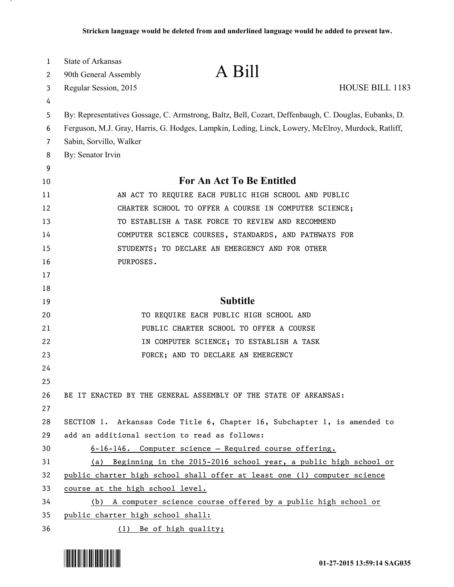| 1  | <b>State of Arkansas</b>                                                                           |                                                                                                      |                 |  |
|----|----------------------------------------------------------------------------------------------------|------------------------------------------------------------------------------------------------------|-----------------|--|
| 2  | 90th General Assembly                                                                              | A Bill                                                                                               |                 |  |
| 3  | Regular Session, 2015                                                                              |                                                                                                      | HOUSE BILL 1183 |  |
| 4  |                                                                                                    |                                                                                                      |                 |  |
| 5  |                                                                                                    | By: Representatives Gossage, C. Armstrong, Baltz, Bell, Cozart, Deffenbaugh, C. Douglas, Eubanks, D. |                 |  |
| 6  | Ferguson, M.J. Gray, Harris, G. Hodges, Lampkin, Leding, Linck, Lowery, McElroy, Murdock, Ratliff, |                                                                                                      |                 |  |
| 7  | Sabin, Sorvillo, Walker                                                                            |                                                                                                      |                 |  |
| 8  | By: Senator Irvin                                                                                  |                                                                                                      |                 |  |
| 9  |                                                                                                    |                                                                                                      |                 |  |
| 10 | For An Act To Be Entitled                                                                          |                                                                                                      |                 |  |
| 11 |                                                                                                    | AN ACT TO REQUIRE EACH PUBLIC HIGH SCHOOL AND PUBLIC                                                 |                 |  |
| 12 |                                                                                                    | CHARTER SCHOOL TO OFFER A COURSE IN COMPUTER SCIENCE;                                                |                 |  |
| 13 |                                                                                                    | TO ESTABLISH A TASK FORCE TO REVIEW AND RECOMMEND                                                    |                 |  |
| 14 |                                                                                                    | COMPUTER SCIENCE COURSES, STANDARDS, AND PATHWAYS FOR                                                |                 |  |
| 15 |                                                                                                    | STUDENTS; TO DECLARE AN EMERGENCY AND FOR OTHER                                                      |                 |  |
| 16 | PURPOSES.                                                                                          |                                                                                                      |                 |  |
| 17 |                                                                                                    |                                                                                                      |                 |  |
| 18 |                                                                                                    |                                                                                                      |                 |  |
| 19 |                                                                                                    | <b>Subtitle</b>                                                                                      |                 |  |
| 20 |                                                                                                    | TO REQUIRE EACH PUBLIC HIGH SCHOOL AND                                                               |                 |  |
| 21 |                                                                                                    | PUBLIC CHARTER SCHOOL TO OFFER A COURSE                                                              |                 |  |
| 22 |                                                                                                    | IN COMPUTER SCIENCE; TO ESTABLISH A TASK                                                             |                 |  |
| 23 |                                                                                                    | FORCE; AND TO DECLARE AN EMERGENCY                                                                   |                 |  |
| 24 |                                                                                                    |                                                                                                      |                 |  |
| 25 |                                                                                                    |                                                                                                      |                 |  |
| 26 |                                                                                                    | BE IT ENACTED BY THE GENERAL ASSEMBLY OF THE STATE OF ARKANSAS:                                      |                 |  |
| 27 |                                                                                                    |                                                                                                      |                 |  |
| 28 |                                                                                                    | SECTION 1. Arkansas Code Title 6, Chapter 16, Subchapter 1, is amended to                            |                 |  |
| 29 |                                                                                                    | add an additional section to read as follows:                                                        |                 |  |
| 30 |                                                                                                    | 6-16-146. Computer science - Required course offering.                                               |                 |  |
| 31 |                                                                                                    | (a) Beginning in the 2015-2016 school year, a public high school or                                  |                 |  |
| 32 |                                                                                                    | public charter high school shall offer at least one (1) computer science                             |                 |  |
| 33 | course at the high school level.                                                                   |                                                                                                      |                 |  |
| 34 |                                                                                                    | (b) A computer science course offered by a public high school or                                     |                 |  |
| 35 | public charter high school shall:                                                                  |                                                                                                      |                 |  |
| 36 |                                                                                                    | (1) Be of high quality;                                                                              |                 |  |



.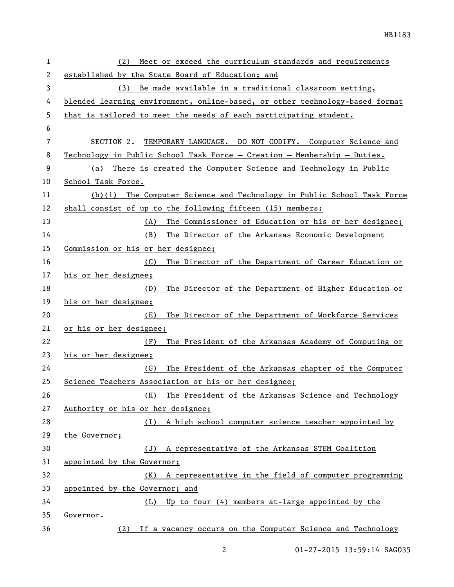| 1  | Meet or exceed the curriculum standards and requirements<br>(2)              |  |  |
|----|------------------------------------------------------------------------------|--|--|
| 2  | established by the State Board of Education; and                             |  |  |
| 3  | Be made available in a traditional classroom setting,<br>(3)                 |  |  |
| 4  | blended learning environment, online-based, or other technology-based format |  |  |
| 5  | that is tailored to meet the needs of each participating student.            |  |  |
| 6  |                                                                              |  |  |
| 7  | SECTION 2. TEMPORARY LANGUAGE. DO NOT CODIFY. Computer Science and           |  |  |
| 8  | Technology in Public School Task Force - Creation - Membership - Duties.     |  |  |
| 9  | (a) There is created the Computer Science and Technology in Public           |  |  |
| 10 | School Task Force.                                                           |  |  |
| 11 | (b)(1) The Computer Science and Technology in Public School Task Force       |  |  |
| 12 | shall consist of up to the following fifteen (15) members:                   |  |  |
| 13 | The Commissioner of Education or his or her designee;<br>(A)                 |  |  |
| 14 | The Director of the Arkansas Economic Development<br>(B)                     |  |  |
| 15 | Commission or his or her designee;                                           |  |  |
| 16 | The Director of the Department of Career Education or<br>(C)                 |  |  |
| 17 | his or her designee;                                                         |  |  |
| 18 | The Director of the Department of Higher Education or<br>(D)                 |  |  |
| 19 | his or her designee;                                                         |  |  |
| 20 | The Director of the Department of Workforce Services<br>(E)                  |  |  |
| 21 | or his or her designee;                                                      |  |  |
| 22 | The President of the Arkansas Academy of Computing or<br>(F)                 |  |  |
| 23 | his or her designee;                                                         |  |  |
| 24 | The President of the Arkansas chapter of the Computer<br>(G)                 |  |  |
| 25 | Science Teachers Association or his or her designee;                         |  |  |
| 26 | The President of the Arkansas Science and Technology<br>(H)                  |  |  |
| 27 | Authority or his or her designee;                                            |  |  |
| 28 | A high school computer science teacher appointed by<br>( L )                 |  |  |
| 29 | the Governor;                                                                |  |  |
| 30 | A representative of the Arkansas STEM Coalition<br>(J)                       |  |  |
| 31 | appointed by the Governor;                                                   |  |  |
| 32 | A representative in the field of computer programming<br>(K)                 |  |  |
| 33 | appointed by the Governor; and                                               |  |  |
| 34 | (L) Up to four (4) members at-large appointed by the                         |  |  |
| 35 | Governor.                                                                    |  |  |
| 36 | (2) If a vacancy occurs on the Computer Science and Technology               |  |  |

01-27-2015 13:59:14 SAG035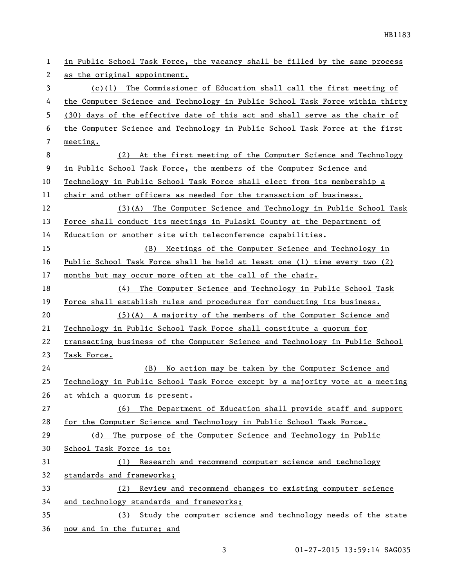| 1  | in Public School Task Force, the vacancy shall be filled by the same process  |  |
|----|-------------------------------------------------------------------------------|--|
| 2  | as the original appointment.                                                  |  |
| 3  | $(c)(1)$ The Commissioner of Education shall call the first meeting of        |  |
| 4  | the Computer Science and Technology in Public School Task Force within thirty |  |
| 5  | (30) days of the effective date of this act and shall serve as the chair of   |  |
| 6  | the Computer Science and Technology in Public School Task Force at the first  |  |
| 7  | meeting.                                                                      |  |
| 8  | At the first meeting of the Computer Science and Technology<br>(2)            |  |
| 9  | in Public School Task Force, the members of the Computer Science and          |  |
| 10 | Technology in Public School Task Force shall elect from its membership a      |  |
| 11 | chair and other officers as needed for the transaction of business.           |  |
| 12 | (3)(A) The Computer Science and Technology in Public School Task              |  |
| 13 | Force shall conduct its meetings in Pulaski County at the Department of       |  |
| 14 | Education or another site with teleconference capabilities.                   |  |
| 15 | (B) Meetings of the Computer Science and Technology in                        |  |
| 16 | Public School Task Force shall be held at least one (1) time every two (2)    |  |
| 17 | months but may occur more often at the call of the chair.                     |  |
| 18 | The Computer Science and Technology in Public School Task<br>(4)              |  |
| 19 | Force shall establish rules and procedures for conducting its business.       |  |
| 20 | $(5)$ (A) A majority of the members of the Computer Science and               |  |
| 21 | Technology in Public School Task Force shall constitute a quorum for          |  |
| 22 | transacting business of the Computer Science and Technology in Public School  |  |
| 23 | Task Force.                                                                   |  |
| 24 | No action may be taken by the Computer Science and<br>(B)                     |  |
| 25 | Technology in Public School Task Force except by a majority vote at a meeting |  |
| 26 | at which a quorum is present.                                                 |  |
| 27 | The Department of Education shall provide staff and support<br>(6)            |  |
| 28 | for the Computer Science and Technology in Public School Task Force.          |  |
| 29 | The purpose of the Computer Science and Technology in Public<br>(d)           |  |
| 30 | School Task Force is to:                                                      |  |
| 31 | Research and recommend computer science and technology<br>(1)                 |  |
| 32 | standards and frameworks;                                                     |  |
| 33 | Review and recommend changes to existing computer science<br>(2)              |  |
| 34 | and technology standards and frameworks;                                      |  |
| 35 | (3) Study the computer science and technology needs of the state              |  |
| 36 | now and in the future; and                                                    |  |